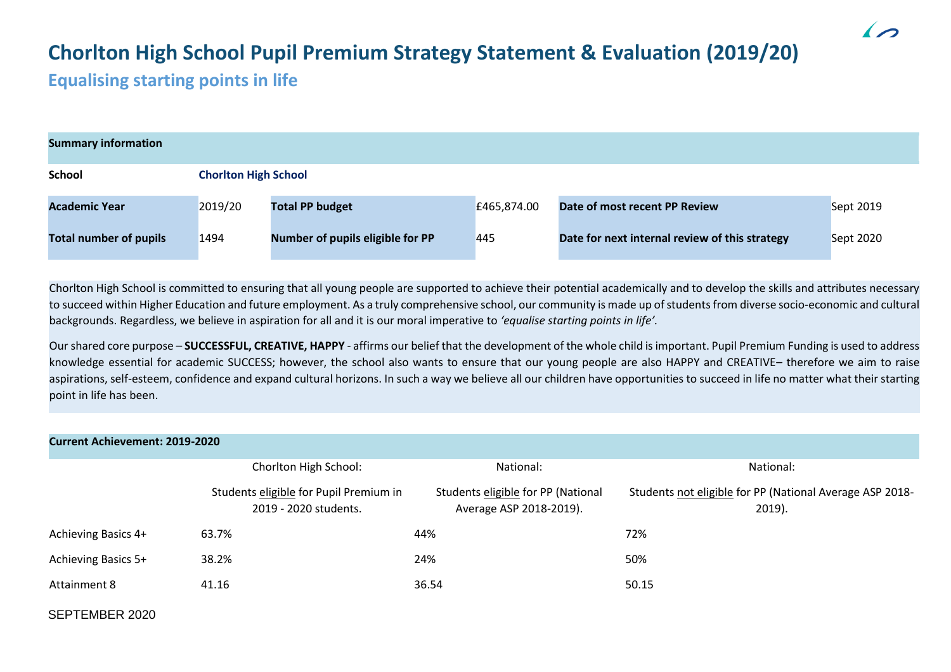# **Chorlton High School Pupil Premium Strategy Statement & Evaluation (2019/20)**

## **Equalising starting points in life**

| <b>Summary information</b>    |         |                                  |             |                                                |                  |  |  |
|-------------------------------|---------|----------------------------------|-------------|------------------------------------------------|------------------|--|--|
| School                        |         | <b>Chorlton High School</b>      |             |                                                |                  |  |  |
| <b>Academic Year</b>          | 2019/20 | <b>Total PP budget</b>           | £465,874.00 | Date of most recent PP Review                  | <b>Sept 2019</b> |  |  |
| <b>Total number of pupils</b> | 1494    | Number of pupils eligible for PP | 445         | Date for next internal review of this strategy | <b>Sept 2020</b> |  |  |

Chorlton High School is committed to ensuring that all young people are supported to achieve their potential academically and to develop the skills and attributes necessary to succeed within Higher Education and future employment. As a truly comprehensive school, our community is made up of students from diverse socio-economic and cultural backgrounds. Regardless, we believe in aspiration for all and it is our moral imperative to *'equalise starting points in life'.*

Our shared core purpose – **SUCCESSFUL, CREATIVE, HAPPY** - affirms our belief that the development of the whole child is important. Pupil Premium Funding is used to address knowledge essential for academic SUCCESS; however, the school also wants to ensure that our young people are also HAPPY and CREATIVE– therefore we aim to raise aspirations, self-esteem, confidence and expand cultural horizons. In such a way we believe all our children have opportunities to succeed in life no matter what their starting point in life has been.

| <b>Current Achievement: 2019-2020</b> |                                                                 |                                                               |                                                                       |  |  |  |
|---------------------------------------|-----------------------------------------------------------------|---------------------------------------------------------------|-----------------------------------------------------------------------|--|--|--|
|                                       | Chorlton High School:                                           | National:                                                     | National:                                                             |  |  |  |
|                                       | Students eligible for Pupil Premium in<br>2019 - 2020 students. | Students eligible for PP (National<br>Average ASP 2018-2019). | Students not eligible for PP (National Average ASP 2018-<br>$2019$ ). |  |  |  |
| Achieving Basics 4+                   | 63.7%                                                           | 44%                                                           | 72%                                                                   |  |  |  |
| Achieving Basics 5+                   | 38.2%                                                           | 24%                                                           | 50%                                                                   |  |  |  |
| <b>Attainment 8</b>                   | 41.16                                                           | 36.54                                                         | 50.15                                                                 |  |  |  |
| SEPTEMBER 2020                        |                                                                 |                                                               |                                                                       |  |  |  |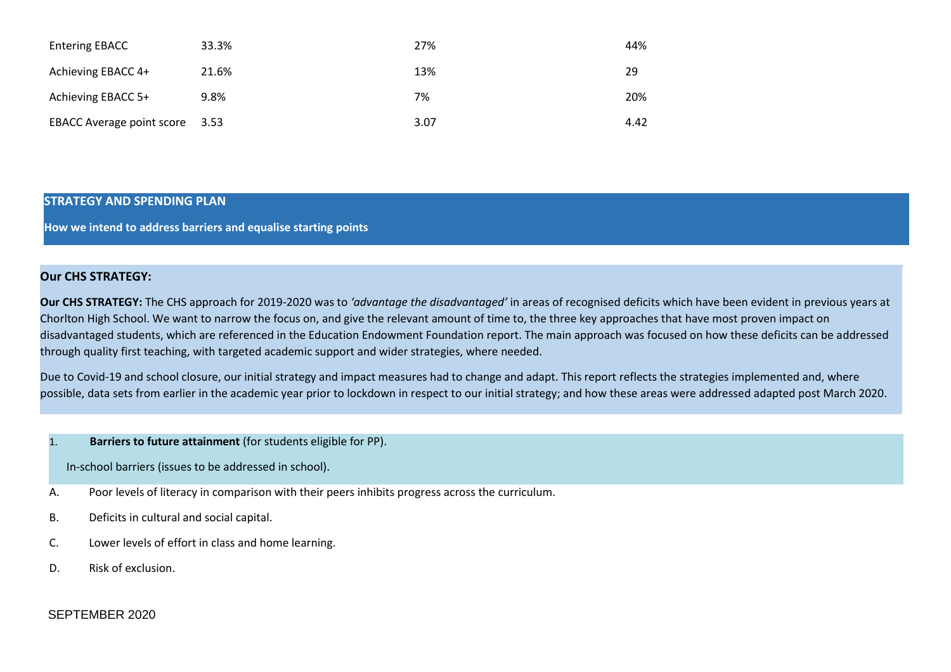| <b>Entering EBACC</b>          | 33.3% | 27%  | 44%  |
|--------------------------------|-------|------|------|
| Achieving EBACC 4+             | 21.6% | 13%  | 29   |
| Achieving EBACC 5+             | 9.8%  | 7%   | 20%  |
| EBACC Average point score 3.53 |       | 3.07 | 4.42 |

#### **STRATEGY AND SPENDING PLAN**

**How we intend to address barriers and equalise starting points**

### **Our CHS STRATEGY:**

**Our CHS STRATEGY:** The CHS approach for 2019-2020 was to *'advantage the disadvantaged'* in areas of recognised deficits which have been evident in previous years at Chorlton High School. We want to narrow the focus on, and give the relevant amount of time to, the three key approaches that have most proven impact on disadvantaged students, which are referenced in the Education Endowment Foundation report. The main approach was focused on how these deficits can be addressed through quality first teaching, with targeted academic support and wider strategies, where needed.

Due to Covid-19 and school closure, our initial strategy and impact measures had to change and adapt. This report reflects the strategies implemented and, where possible, data sets from earlier in the academic year prior to lockdown in respect to our initial strategy; and how these areas were addressed adapted post March 2020.

## 1. **Barriers to future attainment** (for students eligible for PP).

In-school barriers (issues to be addressed in school).

- A. Poor levels of literacy in comparison with their peers inhibits progress across the curriculum.
- B. Deficits in cultural and social capital.
- C. Lower levels of effort in class and home learning.
- D. Risk of exclusion.

## SEPTEMBER 2020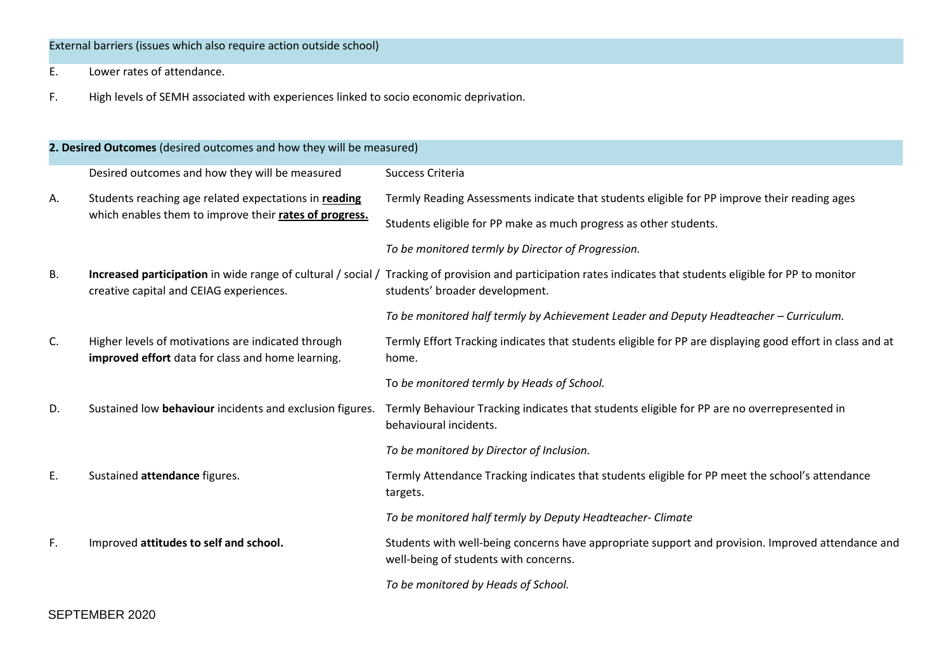## External barriers (issues which also require action outside school)

- E. Lower rates of attendance.
- F. High levels of SEMH associated with experiences linked to socio economic deprivation.

|    | 2. Desired Outcomes (desired outcomes and how they will be measured)                                    |                                                                                                                                                                                                 |
|----|---------------------------------------------------------------------------------------------------------|-------------------------------------------------------------------------------------------------------------------------------------------------------------------------------------------------|
|    | Desired outcomes and how they will be measured                                                          | Success Criteria                                                                                                                                                                                |
| А. | Students reaching age related expectations in reading                                                   | Termly Reading Assessments indicate that students eligible for PP improve their reading ages                                                                                                    |
|    | which enables them to improve their rates of progress.                                                  | Students eligible for PP make as much progress as other students.                                                                                                                               |
|    |                                                                                                         | To be monitored termly by Director of Progression.                                                                                                                                              |
| В. | creative capital and CEIAG experiences.                                                                 | Increased participation in wide range of cultural / social / Tracking of provision and participation rates indicates that students eligible for PP to monitor<br>students' broader development. |
|    |                                                                                                         | To be monitored half termly by Achievement Leader and Deputy Headteacher - Curriculum.                                                                                                          |
| C. | Higher levels of motivations are indicated through<br>improved effort data for class and home learning. | Termly Effort Tracking indicates that students eligible for PP are displaying good effort in class and at<br>home.                                                                              |
|    |                                                                                                         | To be monitored termly by Heads of School.                                                                                                                                                      |
| D. | Sustained low behaviour incidents and exclusion figures.                                                | Termly Behaviour Tracking indicates that students eligible for PP are no overrepresented in<br>behavioural incidents.                                                                           |
|    |                                                                                                         | To be monitored by Director of Inclusion.                                                                                                                                                       |
| Ε. | Sustained attendance figures.                                                                           | Termly Attendance Tracking indicates that students eligible for PP meet the school's attendance<br>targets.                                                                                     |
|    |                                                                                                         | To be monitored half termly by Deputy Headteacher-Climate                                                                                                                                       |
| F. | Improved attitudes to self and school.                                                                  | Students with well-being concerns have appropriate support and provision. Improved attendance and<br>well-being of students with concerns.                                                      |
|    |                                                                                                         | To be monitored by Heads of School.                                                                                                                                                             |

## SEPTEMBER 2020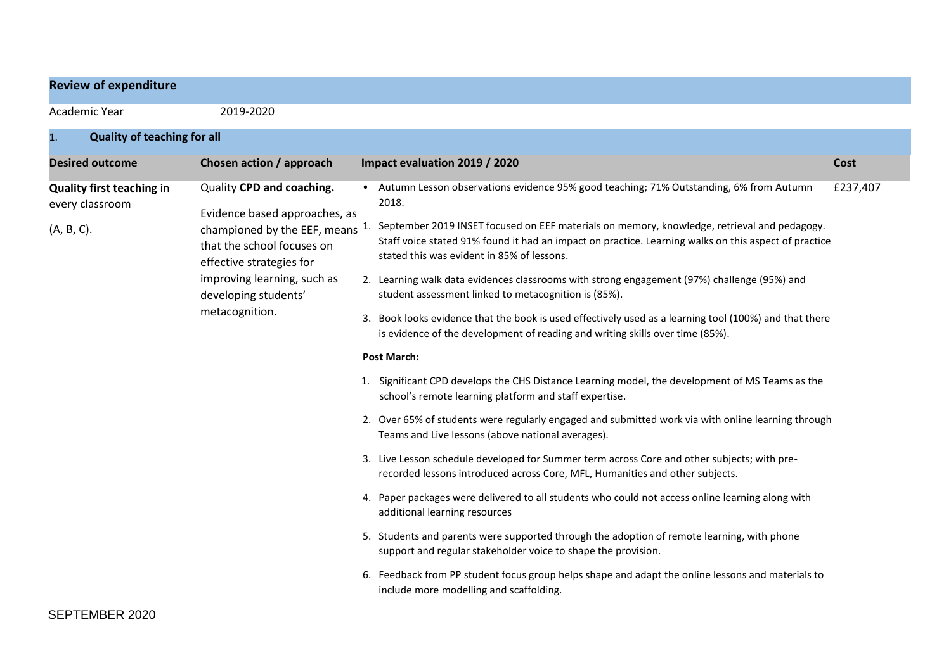| <b>Review of expenditure</b>                                      |                                                                                                                                                                                                                               |                                                                                                                                                                                                                                                                                                                                                                                                                                                                                                                                                                                                                                                                                                                                                                                                                                                                                                                                                                                                                                                                                                                                                                                                                                                                                                                                                                                                                                                                                                                                                                                                                                                                                              |          |
|-------------------------------------------------------------------|-------------------------------------------------------------------------------------------------------------------------------------------------------------------------------------------------------------------------------|----------------------------------------------------------------------------------------------------------------------------------------------------------------------------------------------------------------------------------------------------------------------------------------------------------------------------------------------------------------------------------------------------------------------------------------------------------------------------------------------------------------------------------------------------------------------------------------------------------------------------------------------------------------------------------------------------------------------------------------------------------------------------------------------------------------------------------------------------------------------------------------------------------------------------------------------------------------------------------------------------------------------------------------------------------------------------------------------------------------------------------------------------------------------------------------------------------------------------------------------------------------------------------------------------------------------------------------------------------------------------------------------------------------------------------------------------------------------------------------------------------------------------------------------------------------------------------------------------------------------------------------------------------------------------------------------|----------|
| Academic Year                                                     | 2019-2020                                                                                                                                                                                                                     |                                                                                                                                                                                                                                                                                                                                                                                                                                                                                                                                                                                                                                                                                                                                                                                                                                                                                                                                                                                                                                                                                                                                                                                                                                                                                                                                                                                                                                                                                                                                                                                                                                                                                              |          |
| <b>Quality of teaching for all</b><br>1.                          |                                                                                                                                                                                                                               |                                                                                                                                                                                                                                                                                                                                                                                                                                                                                                                                                                                                                                                                                                                                                                                                                                                                                                                                                                                                                                                                                                                                                                                                                                                                                                                                                                                                                                                                                                                                                                                                                                                                                              |          |
| <b>Desired outcome</b>                                            | Chosen action / approach                                                                                                                                                                                                      | Impact evaluation 2019 / 2020                                                                                                                                                                                                                                                                                                                                                                                                                                                                                                                                                                                                                                                                                                                                                                                                                                                                                                                                                                                                                                                                                                                                                                                                                                                                                                                                                                                                                                                                                                                                                                                                                                                                | Cost     |
| <b>Quality first teaching in</b><br>every classroom<br>(A, B, C). | Quality CPD and coaching.<br>Evidence based approaches, as<br>championed by the EEF, means<br>that the school focuses on<br>effective strategies for<br>improving learning, such as<br>developing students'<br>metacognition. | • Autumn Lesson observations evidence 95% good teaching; 71% Outstanding, 6% from Autumn<br>2018.<br>September 2019 INSET focused on EEF materials on memory, knowledge, retrieval and pedagogy.<br>Staff voice stated 91% found it had an impact on practice. Learning walks on this aspect of practice<br>stated this was evident in 85% of lessons.<br>2. Learning walk data evidences classrooms with strong engagement (97%) challenge (95%) and<br>student assessment linked to metacognition is (85%).<br>Book looks evidence that the book is used effectively used as a learning tool (100%) and that there<br>3.<br>is evidence of the development of reading and writing skills over time (85%).<br><b>Post March:</b><br>1. Significant CPD develops the CHS Distance Learning model, the development of MS Teams as the<br>school's remote learning platform and staff expertise.<br>2. Over 65% of students were regularly engaged and submitted work via with online learning through<br>Teams and Live lessons (above national averages).<br>3. Live Lesson schedule developed for Summer term across Core and other subjects; with pre-<br>recorded lessons introduced across Core, MFL, Humanities and other subjects.<br>4. Paper packages were delivered to all students who could not access online learning along with<br>additional learning resources<br>5. Students and parents were supported through the adoption of remote learning, with phone<br>support and regular stakeholder voice to shape the provision.<br>6. Feedback from PP student focus group helps shape and adapt the online lessons and materials to<br>include more modelling and scaffolding. | £237,407 |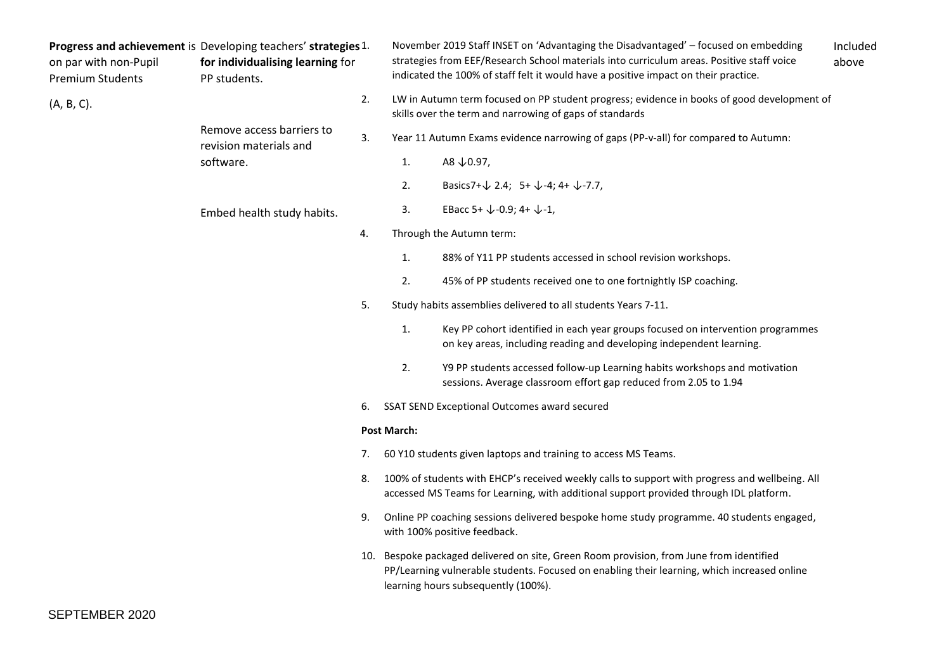| on par with non-Pupil<br><b>Premium Students</b> | Progress and achievement is Developing teachers' strategies 1.<br>for individualising learning for<br>PP students. |     |                    | November 2019 Staff INSET on 'Advantaging the Disadvantaged' - focused on embedding<br>strategies from EEF/Research School materials into curriculum areas. Positive staff voice<br>indicated the 100% of staff felt it would have a positive impact on their practice. | Included<br>above |                                                                                                                                                       |  |
|--------------------------------------------------|--------------------------------------------------------------------------------------------------------------------|-----|--------------------|-------------------------------------------------------------------------------------------------------------------------------------------------------------------------------------------------------------------------------------------------------------------------|-------------------|-------------------------------------------------------------------------------------------------------------------------------------------------------|--|
| (A, B, C).                                       |                                                                                                                    |     | 2.                 |                                                                                                                                                                                                                                                                         |                   | LW in Autumn term focused on PP student progress; evidence in books of good development of<br>skills over the term and narrowing of gaps of standards |  |
|                                                  | Remove access barriers to<br>revision materials and                                                                | 3.  |                    | Year 11 Autumn Exams evidence narrowing of gaps (PP-v-all) for compared to Autumn:                                                                                                                                                                                      |                   |                                                                                                                                                       |  |
|                                                  | software.                                                                                                          |     | 1.                 | A8 ↓0.97,                                                                                                                                                                                                                                                               |                   |                                                                                                                                                       |  |
|                                                  |                                                                                                                    |     | 2.                 | Basics7+ $\downarrow$ 2.4; 5+ $\downarrow$ -4; 4+ $\downarrow$ -7.7,                                                                                                                                                                                                    |                   |                                                                                                                                                       |  |
|                                                  | Embed health study habits.                                                                                         |     | 3.                 | EBacc 5+ $\downarrow$ -0.9; 4+ $\downarrow$ -1,                                                                                                                                                                                                                         |                   |                                                                                                                                                       |  |
|                                                  |                                                                                                                    | 4.  |                    | Through the Autumn term:                                                                                                                                                                                                                                                |                   |                                                                                                                                                       |  |
|                                                  |                                                                                                                    |     | 1.                 | 88% of Y11 PP students accessed in school revision workshops.                                                                                                                                                                                                           |                   |                                                                                                                                                       |  |
|                                                  |                                                                                                                    |     | 2.                 | 45% of PP students received one to one fortnightly ISP coaching.                                                                                                                                                                                                        |                   |                                                                                                                                                       |  |
|                                                  |                                                                                                                    | 5.  |                    | Study habits assemblies delivered to all students Years 7-11.                                                                                                                                                                                                           |                   |                                                                                                                                                       |  |
|                                                  |                                                                                                                    |     | 1.                 | Key PP cohort identified in each year groups focused on intervention programmes<br>on key areas, including reading and developing independent learning.                                                                                                                 |                   |                                                                                                                                                       |  |
|                                                  |                                                                                                                    |     | 2.                 | Y9 PP students accessed follow-up Learning habits workshops and motivation<br>sessions. Average classroom effort gap reduced from 2.05 to 1.94                                                                                                                          |                   |                                                                                                                                                       |  |
|                                                  |                                                                                                                    | 6.  |                    | SSAT SEND Exceptional Outcomes award secured                                                                                                                                                                                                                            |                   |                                                                                                                                                       |  |
|                                                  |                                                                                                                    |     | <b>Post March:</b> |                                                                                                                                                                                                                                                                         |                   |                                                                                                                                                       |  |
|                                                  |                                                                                                                    | 7.  |                    | 60 Y10 students given laptops and training to access MS Teams.                                                                                                                                                                                                          |                   |                                                                                                                                                       |  |
|                                                  |                                                                                                                    | 8.  |                    | 100% of students with EHCP's received weekly calls to support with progress and wellbeing. All<br>accessed MS Teams for Learning, with additional support provided through IDL platform.                                                                                |                   |                                                                                                                                                       |  |
|                                                  |                                                                                                                    | 9.  |                    | Online PP coaching sessions delivered bespoke home study programme. 40 students engaged,<br>with 100% positive feedback.                                                                                                                                                |                   |                                                                                                                                                       |  |
|                                                  |                                                                                                                    | 10. |                    | Bespoke packaged delivered on site, Green Room provision, from June from identified<br>PP/Learning vulnerable students. Focused on enabling their learning, which increased online<br>learning hours subsequently (100%).                                               |                   |                                                                                                                                                       |  |

SEPTEMBER 2020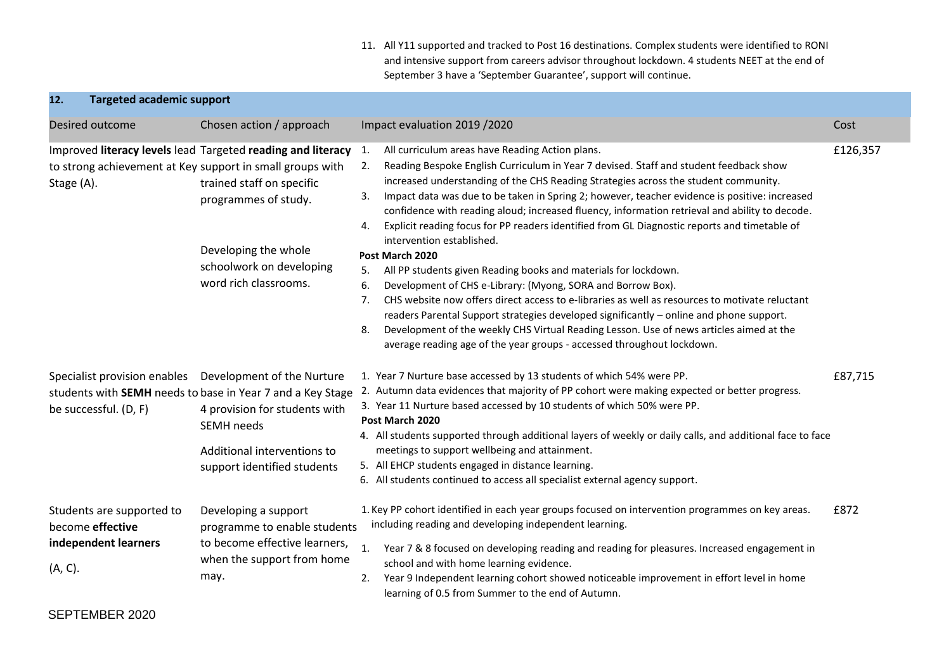11. All Y11 supported and tracked to Post 16 destinations. Complex students were identified to RONI and intensive support from careers advisor throughout lockdown. 4 students NEET at the end of September 3 have a 'September Guarantee', support will continue.

| 12.        | <b>Targeted academic support</b>                                      |                                                                                                                                                                                                                                                            |                                                                                                                                                                                                                                                                                                                                                                                                                                                                                                                                                                                                                                                                                                                                                                                                                                                                                                                                                                                                                                                                                                                                        |          |
|------------|-----------------------------------------------------------------------|------------------------------------------------------------------------------------------------------------------------------------------------------------------------------------------------------------------------------------------------------------|----------------------------------------------------------------------------------------------------------------------------------------------------------------------------------------------------------------------------------------------------------------------------------------------------------------------------------------------------------------------------------------------------------------------------------------------------------------------------------------------------------------------------------------------------------------------------------------------------------------------------------------------------------------------------------------------------------------------------------------------------------------------------------------------------------------------------------------------------------------------------------------------------------------------------------------------------------------------------------------------------------------------------------------------------------------------------------------------------------------------------------------|----------|
|            | Desired outcome                                                       | Chosen action / approach                                                                                                                                                                                                                                   | Impact evaluation 2019 / 2020                                                                                                                                                                                                                                                                                                                                                                                                                                                                                                                                                                                                                                                                                                                                                                                                                                                                                                                                                                                                                                                                                                          | Cost     |
| Stage (A). |                                                                       | Improved literacy levels lead Targeted reading and literacy<br>to strong achievement at Key support in small groups with<br>trained staff on specific<br>programmes of study.<br>Developing the whole<br>schoolwork on developing<br>word rich classrooms. | All curriculum areas have Reading Action plans.<br>1.<br>Reading Bespoke English Curriculum in Year 7 devised. Staff and student feedback show<br>2.<br>increased understanding of the CHS Reading Strategies across the student community.<br>Impact data was due to be taken in Spring 2; however, teacher evidence is positive: increased<br>3.<br>confidence with reading aloud; increased fluency, information retrieval and ability to decode.<br>Explicit reading focus for PP readers identified from GL Diagnostic reports and timetable of<br>4.<br>intervention established.<br>Post March 2020<br>All PP students given Reading books and materials for lockdown.<br>5.<br>Development of CHS e-Library: (Myong, SORA and Borrow Box).<br>6.<br>CHS website now offers direct access to e-libraries as well as resources to motivate reluctant<br>7.<br>readers Parental Support strategies developed significantly - online and phone support.<br>Development of the weekly CHS Virtual Reading Lesson. Use of news articles aimed at the<br>8.<br>average reading age of the year groups - accessed throughout lockdown. | £126,357 |
|            | Specialist provision enables<br>be successful. (D, F)                 | Development of the Nurture<br>students with SEMH needs to base in Year 7 and a Key Stage<br>4 provision for students with<br><b>SEMH</b> needs<br>Additional interventions to<br>support identified students                                               | 1. Year 7 Nurture base accessed by 13 students of which 54% were PP.<br>2. Autumn data evidences that majority of PP cohort were making expected or better progress.<br>3. Year 11 Nurture based accessed by 10 students of which 50% were PP.<br>Post March 2020<br>4. All students supported through additional layers of weekly or daily calls, and additional face to face<br>meetings to support wellbeing and attainment.<br>5. All EHCP students engaged in distance learning.<br>6. All students continued to access all specialist external agency support.                                                                                                                                                                                                                                                                                                                                                                                                                                                                                                                                                                   | £87,715  |
| (A, C).    | Students are supported to<br>become effective<br>independent learners | Developing a support<br>programme to enable students<br>to become effective learners,<br>when the support from home<br>may.                                                                                                                                | 1. Key PP cohort identified in each year groups focused on intervention programmes on key areas.<br>including reading and developing independent learning.<br>$\mathbf{1}$<br>Year 7 & 8 focused on developing reading and reading for pleasures. Increased engagement in<br>school and with home learning evidence.<br>Year 9 Independent learning cohort showed noticeable improvement in effort level in home<br>2.<br>learning of 0.5 from Summer to the end of Autumn.                                                                                                                                                                                                                                                                                                                                                                                                                                                                                                                                                                                                                                                            | £872     |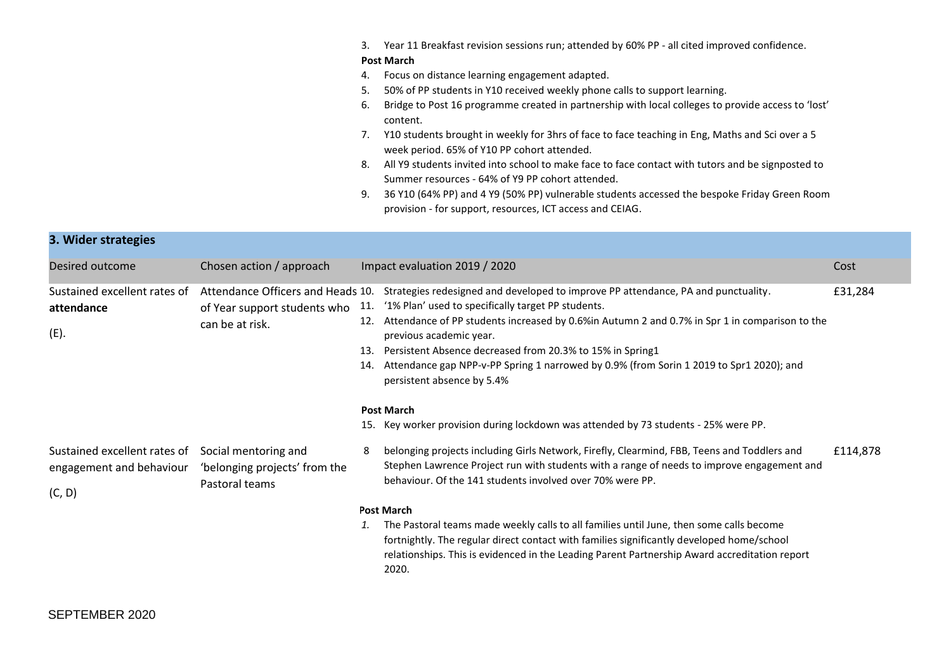|  |  |  | 3. Year 11 Breakfast revision sessions run; attended by 60% PP - all cited improved confidence. |  |
|--|--|--|-------------------------------------------------------------------------------------------------|--|
|--|--|--|-------------------------------------------------------------------------------------------------|--|

#### **Post March**

- 4. Focus on distance learning engagement adapted.
- 5. 50% of PP students in Y10 received weekly phone calls to support learning.
- 6. Bridge to Post 16 programme created in partnership with local colleges to provide access to 'lost' content.
- 7. Y10 students brought in weekly for 3hrs of face to face teaching in Eng, Maths and Sci over a 5 week period. 65% of Y10 PP cohort attended.
- 8. All Y9 students invited into school to make face to face contact with tutors and be signposted to Summer resources - 64% of Y9 PP cohort attended.
- 9. 36 Y10 (64% PP) and 4 Y9 (50% PP) vulnerable students accessed the bespoke Friday Green Room provision - for support, resources, ICT access and CEIAG.

| 3. Wider strategies                                                |                                                                                      |                                                                                                                                                                                                                                                                                                                                                                                                                                                                                                                                                                                                   |          |
|--------------------------------------------------------------------|--------------------------------------------------------------------------------------|---------------------------------------------------------------------------------------------------------------------------------------------------------------------------------------------------------------------------------------------------------------------------------------------------------------------------------------------------------------------------------------------------------------------------------------------------------------------------------------------------------------------------------------------------------------------------------------------------|----------|
| Desired outcome                                                    | Chosen action / approach                                                             | Impact evaluation 2019 / 2020                                                                                                                                                                                                                                                                                                                                                                                                                                                                                                                                                                     | Cost     |
| Sustained excellent rates of<br>attendance<br>(E).                 | Attendance Officers and Heads 10.<br>of Year support students who<br>can be at risk. | Strategies redesigned and developed to improve PP attendance, PA and punctuality.<br>'1% Plan' used to specifically target PP students.<br>11.<br>Attendance of PP students increased by 0.6%in Autumn 2 and 0.7% in Spr 1 in comparison to the<br>12.<br>previous academic year.<br>Persistent Absence decreased from 20.3% to 15% in Spring1<br>13.<br>Attendance gap NPP-v-PP Spring 1 narrowed by 0.9% (from Sorin 1 2019 to Spr1 2020); and<br>14.<br>persistent absence by 5.4%<br><b>Post March</b><br>15. Key worker provision during lockdown was attended by 73 students - 25% were PP. | £31,284  |
| Sustained excellent rates of<br>engagement and behaviour<br>(C, D) | Social mentoring and<br>'belonging projects' from the<br>Pastoral teams              | belonging projects including Girls Network, Firefly, Clearmind, FBB, Teens and Toddlers and<br>8<br>Stephen Lawrence Project run with students with a range of needs to improve engagement and<br>behaviour. Of the 141 students involved over 70% were PP.<br><b>Post March</b><br>The Pastoral teams made weekly calls to all families until June, then some calls become<br>1.<br>fortnightly. The regular direct contact with families significantly developed home/school<br>relationships. This is evidenced in the Leading Parent Partnership Award accreditation report<br>2020.          | £114,878 |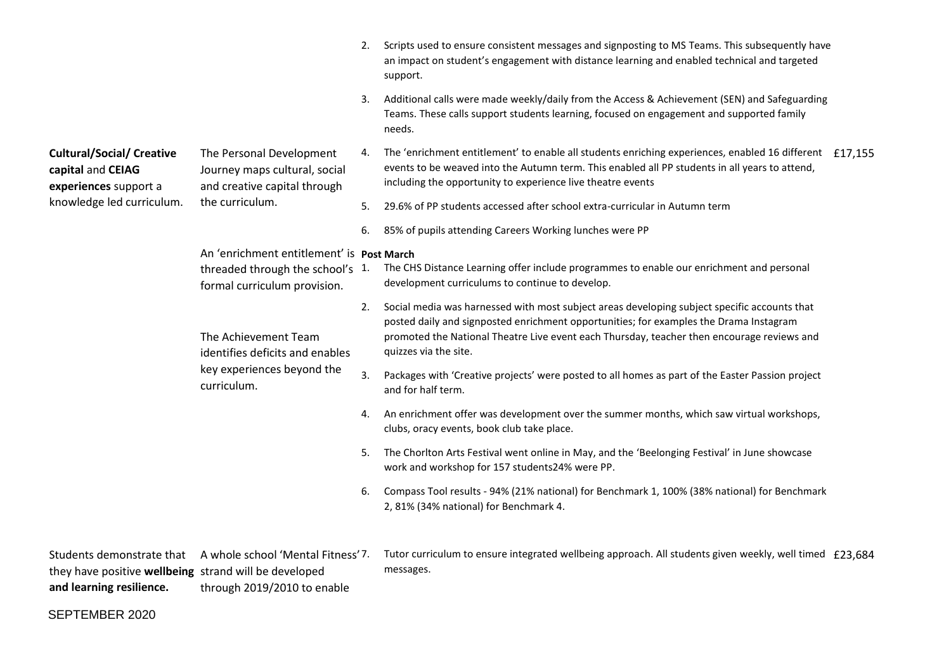|                                                                                |                                                                                                               | 2. | Scripts used to ensure consistent messages and signposting to MS Teams. This subsequently have<br>an impact on student's engagement with distance learning and enabled technical and targeted<br>support.                                                                                                     |
|--------------------------------------------------------------------------------|---------------------------------------------------------------------------------------------------------------|----|---------------------------------------------------------------------------------------------------------------------------------------------------------------------------------------------------------------------------------------------------------------------------------------------------------------|
|                                                                                |                                                                                                               | 3. | Additional calls were made weekly/daily from the Access & Achievement (SEN) and Safeguarding<br>Teams. These calls support students learning, focused on engagement and supported family<br>needs.                                                                                                            |
| <b>Cultural/Social/ Creative</b><br>capital and CEIAG<br>experiences support a | The Personal Development<br>Journey maps cultural, social<br>and creative capital through                     | 4. | The 'enrichment entitlement' to enable all students enriching experiences, enabled 16 different £17,155<br>events to be weaved into the Autumn term. This enabled all PP students in all years to attend,<br>including the opportunity to experience live theatre events                                      |
| knowledge led curriculum.                                                      | the curriculum.                                                                                               | 5. | 29.6% of PP students accessed after school extra-curricular in Autumn term                                                                                                                                                                                                                                    |
|                                                                                |                                                                                                               | 6. | 85% of pupils attending Careers Working lunches were PP                                                                                                                                                                                                                                                       |
|                                                                                | An 'enrichment entitlement' is Post March<br>threaded through the school's 1.<br>formal curriculum provision. |    | The CHS Distance Learning offer include programmes to enable our enrichment and personal<br>development curriculums to continue to develop.                                                                                                                                                                   |
|                                                                                | The Achievement Team<br>identifies deficits and enables<br>key experiences beyond the<br>curriculum.          | 2. | Social media was harnessed with most subject areas developing subject specific accounts that<br>posted daily and signposted enrichment opportunities; for examples the Drama Instagram<br>promoted the National Theatre Live event each Thursday, teacher then encourage reviews and<br>quizzes via the site. |
|                                                                                |                                                                                                               | 3. | Packages with 'Creative projects' were posted to all homes as part of the Easter Passion project<br>and for half term.                                                                                                                                                                                        |
|                                                                                |                                                                                                               | 4. | An enrichment offer was development over the summer months, which saw virtual workshops,<br>clubs, oracy events, book club take place.                                                                                                                                                                        |
|                                                                                |                                                                                                               | 5. | The Chorlton Arts Festival went online in May, and the 'Beelonging Festival' in June showcase<br>work and workshop for 157 students24% were PP.                                                                                                                                                               |
|                                                                                |                                                                                                               | 6. | Compass Tool results - 94% (21% national) for Benchmark 1, 100% (38% national) for Benchmark<br>2, 81% (34% national) for Benchmark 4.                                                                                                                                                                        |
|                                                                                |                                                                                                               |    |                                                                                                                                                                                                                                                                                                               |

|                                                       | Students demonstrate that A whole school 'Mental Fitness' 7. | Tutor curriculum to ensure integrated wellbeing approach. All students given weekly, well timed £23,684 |  |
|-------------------------------------------------------|--------------------------------------------------------------|---------------------------------------------------------------------------------------------------------|--|
| they have positive wellbeing strand will be developed |                                                              | messages.                                                                                               |  |
| and learning resilience.                              | through 2019/2010 to enable                                  |                                                                                                         |  |